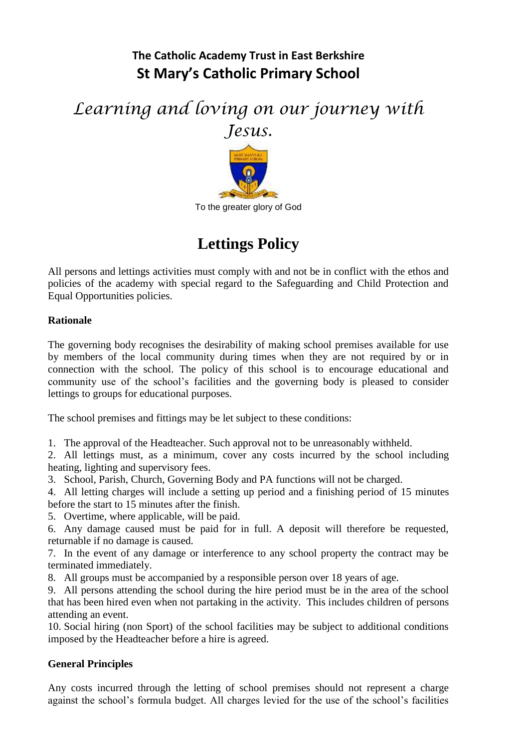# **The Catholic Academy Trust in East Berkshire St Mary's Catholic Primary School**

*Learning and loving on our journey with Jesus.*



# **Lettings Policy**

All persons and lettings activities must comply with and not be in conflict with the ethos and policies of the academy with special regard to the Safeguarding and Child Protection and Equal Opportunities policies.

# **Rationale**

The governing body recognises the desirability of making school premises available for use by members of the local community during times when they are not required by or in connection with the school. The policy of this school is to encourage educational and community use of the school's facilities and the governing body is pleased to consider lettings to groups for educational purposes.

The school premises and fittings may be let subject to these conditions:

1. The approval of the Headteacher. Such approval not to be unreasonably withheld.

2. All lettings must, as a minimum, cover any costs incurred by the school including heating, lighting and supervisory fees.

3. School, Parish, Church, Governing Body and PA functions will not be charged.

4. All letting charges will include a setting up period and a finishing period of 15 minutes before the start to 15 minutes after the finish.

5. Overtime, where applicable, will be paid.

6. Any damage caused must be paid for in full. A deposit will therefore be requested, returnable if no damage is caused.

7. In the event of any damage or interference to any school property the contract may be terminated immediately.

8. All groups must be accompanied by a responsible person over 18 years of age.

9. All persons attending the school during the hire period must be in the area of the school that has been hired even when not partaking in the activity. This includes children of persons attending an event.

10. Social hiring (non Sport) of the school facilities may be subject to additional conditions imposed by the Headteacher before a hire is agreed.

# **General Principles**

Any costs incurred through the letting of school premises should not represent a charge against the school's formula budget. All charges levied for the use of the school's facilities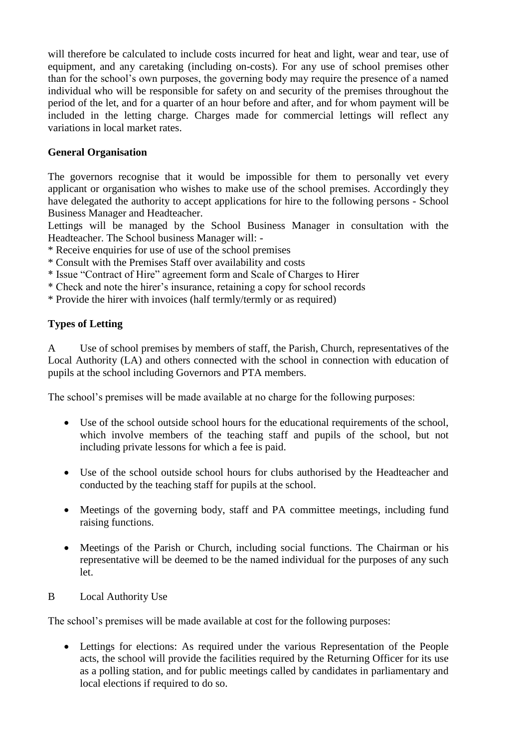will therefore be calculated to include costs incurred for heat and light, wear and tear, use of equipment, and any caretaking (including on-costs). For any use of school premises other than for the school's own purposes, the governing body may require the presence of a named individual who will be responsible for safety on and security of the premises throughout the period of the let, and for a quarter of an hour before and after, and for whom payment will be included in the letting charge. Charges made for commercial lettings will reflect any variations in local market rates.

# **General Organisation**

The governors recognise that it would be impossible for them to personally vet every applicant or organisation who wishes to make use of the school premises. Accordingly they have delegated the authority to accept applications for hire to the following persons - School Business Manager and Headteacher.

Lettings will be managed by the School Business Manager in consultation with the Headteacher. The School business Manager will: -

\* Receive enquiries for use of use of the school premises

- \* Consult with the Premises Staff over availability and costs
- \* Issue "Contract of Hire" agreement form and Scale of Charges to Hirer
- \* Check and note the hirer's insurance, retaining a copy for school records
- \* Provide the hirer with invoices (half termly/termly or as required)

# **Types of Letting**

A Use of school premises by members of staff, the Parish, Church, representatives of the Local Authority (LA) and others connected with the school in connection with education of pupils at the school including Governors and PTA members.

The school's premises will be made available at no charge for the following purposes:

- Use of the school outside school hours for the educational requirements of the school, which involve members of the teaching staff and pupils of the school, but not including private lessons for which a fee is paid.
- Use of the school outside school hours for clubs authorised by the Headteacher and conducted by the teaching staff for pupils at the school.
- Meetings of the governing body, staff and PA committee meetings, including fund raising functions.
- Meetings of the Parish or Church, including social functions. The Chairman or his representative will be deemed to be the named individual for the purposes of any such let.
- B Local Authority Use

The school's premises will be made available at cost for the following purposes:

 Lettings for elections: As required under the various Representation of the People acts, the school will provide the facilities required by the Returning Officer for its use as a polling station, and for public meetings called by candidates in parliamentary and local elections if required to do so.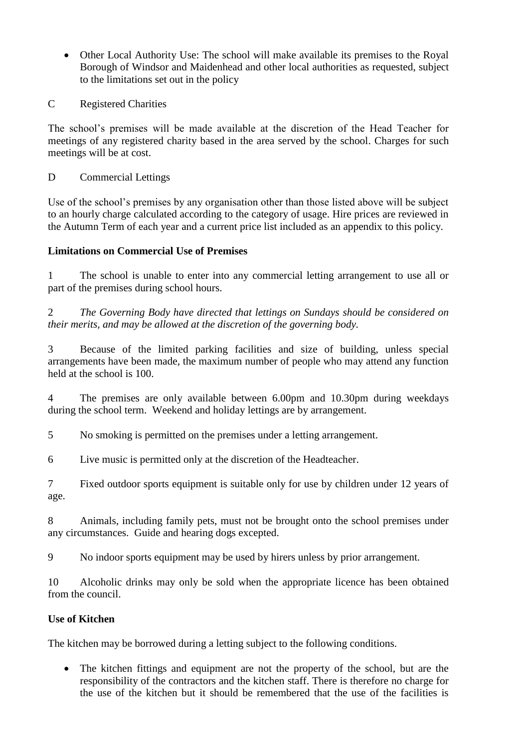- Other Local Authority Use: The school will make available its premises to the Royal Borough of Windsor and Maidenhead and other local authorities as requested, subject to the limitations set out in the policy
- C Registered Charities

The school's premises will be made available at the discretion of the Head Teacher for meetings of any registered charity based in the area served by the school. Charges for such meetings will be at cost.

D Commercial Lettings

Use of the school's premises by any organisation other than those listed above will be subject to an hourly charge calculated according to the category of usage. Hire prices are reviewed in the Autumn Term of each year and a current price list included as an appendix to this policy.

# **Limitations on Commercial Use of Premises**

1 The school is unable to enter into any commercial letting arrangement to use all or part of the premises during school hours.

2 *The Governing Body have directed that lettings on Sundays should be considered on their merits, and may be allowed at the discretion of the governing body.*

3 Because of the limited parking facilities and size of building, unless special arrangements have been made, the maximum number of people who may attend any function held at the school is 100.

4 The premises are only available between 6.00pm and 10.30pm during weekdays during the school term. Weekend and holiday lettings are by arrangement.

5 No smoking is permitted on the premises under a letting arrangement.

6 Live music is permitted only at the discretion of the Headteacher.

7 Fixed outdoor sports equipment is suitable only for use by children under 12 years of age.

8 Animals, including family pets, must not be brought onto the school premises under any circumstances. Guide and hearing dogs excepted.

9 No indoor sports equipment may be used by hirers unless by prior arrangement.

10 Alcoholic drinks may only be sold when the appropriate licence has been obtained from the council.

# **Use of Kitchen**

The kitchen may be borrowed during a letting subject to the following conditions.

• The kitchen fittings and equipment are not the property of the school, but are the responsibility of the contractors and the kitchen staff. There is therefore no charge for the use of the kitchen but it should be remembered that the use of the facilities is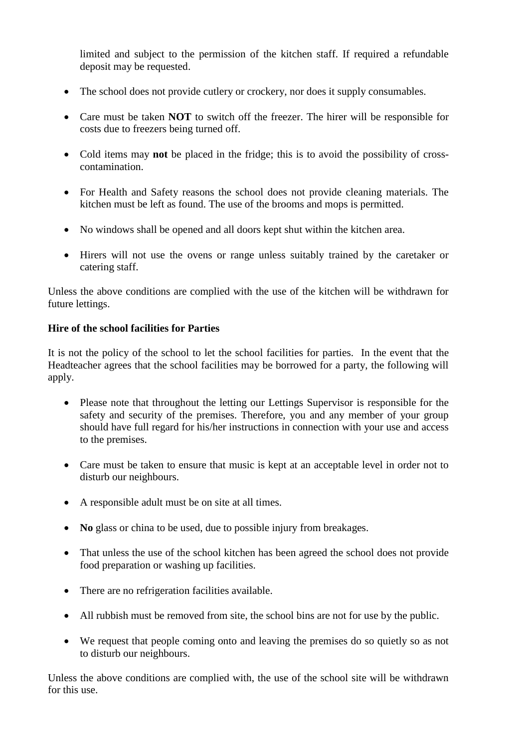limited and subject to the permission of the kitchen staff. If required a refundable deposit may be requested.

- The school does not provide cutlery or crockery, nor does it supply consumables.
- Care must be taken **NOT** to switch off the freezer. The hirer will be responsible for costs due to freezers being turned off.
- Cold items may **not** be placed in the fridge; this is to avoid the possibility of crosscontamination.
- For Health and Safety reasons the school does not provide cleaning materials. The kitchen must be left as found. The use of the brooms and mops is permitted.
- No windows shall be opened and all doors kept shut within the kitchen area.
- Hirers will not use the ovens or range unless suitably trained by the caretaker or catering staff.

Unless the above conditions are complied with the use of the kitchen will be withdrawn for future lettings.

# **Hire of the school facilities for Parties**

It is not the policy of the school to let the school facilities for parties. In the event that the Headteacher agrees that the school facilities may be borrowed for a party, the following will apply.

- Please note that throughout the letting our Lettings Supervisor is responsible for the safety and security of the premises. Therefore, you and any member of your group should have full regard for his/her instructions in connection with your use and access to the premises.
- Care must be taken to ensure that music is kept at an acceptable level in order not to disturb our neighbours.
- A responsible adult must be on site at all times.
- No glass or china to be used, due to possible injury from breakages.
- That unless the use of the school kitchen has been agreed the school does not provide food preparation or washing up facilities.
- There are no refrigeration facilities available.
- All rubbish must be removed from site, the school bins are not for use by the public.
- We request that people coming onto and leaving the premises do so quietly so as not to disturb our neighbours.

Unless the above conditions are complied with, the use of the school site will be withdrawn for this use.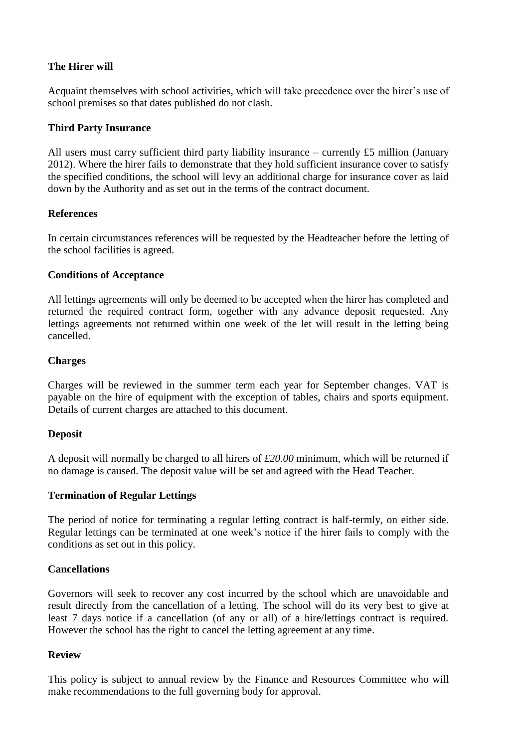# **The Hirer will**

Acquaint themselves with school activities, which will take precedence over the hirer's use of school premises so that dates published do not clash.

# **Third Party Insurance**

All users must carry sufficient third party liability insurance – currently £5 million (January 2012). Where the hirer fails to demonstrate that they hold sufficient insurance cover to satisfy the specified conditions, the school will levy an additional charge for insurance cover as laid down by the Authority and as set out in the terms of the contract document.

# **References**

In certain circumstances references will be requested by the Headteacher before the letting of the school facilities is agreed.

#### **Conditions of Acceptance**

All lettings agreements will only be deemed to be accepted when the hirer has completed and returned the required contract form, together with any advance deposit requested. Any lettings agreements not returned within one week of the let will result in the letting being cancelled.

#### **Charges**

Charges will be reviewed in the summer term each year for September changes. VAT is payable on the hire of equipment with the exception of tables, chairs and sports equipment. Details of current charges are attached to this document.

#### **Deposit**

A deposit will normally be charged to all hirers of *£20.00* minimum, which will be returned if no damage is caused. The deposit value will be set and agreed with the Head Teacher.

#### **Termination of Regular Lettings**

The period of notice for terminating a regular letting contract is half-termly, on either side. Regular lettings can be terminated at one week's notice if the hirer fails to comply with the conditions as set out in this policy.

# **Cancellations**

Governors will seek to recover any cost incurred by the school which are unavoidable and result directly from the cancellation of a letting. The school will do its very best to give at least 7 days notice if a cancellation (of any or all) of a hire/lettings contract is required. However the school has the right to cancel the letting agreement at any time.

# **Review**

This policy is subject to annual review by the Finance and Resources Committee who will make recommendations to the full governing body for approval.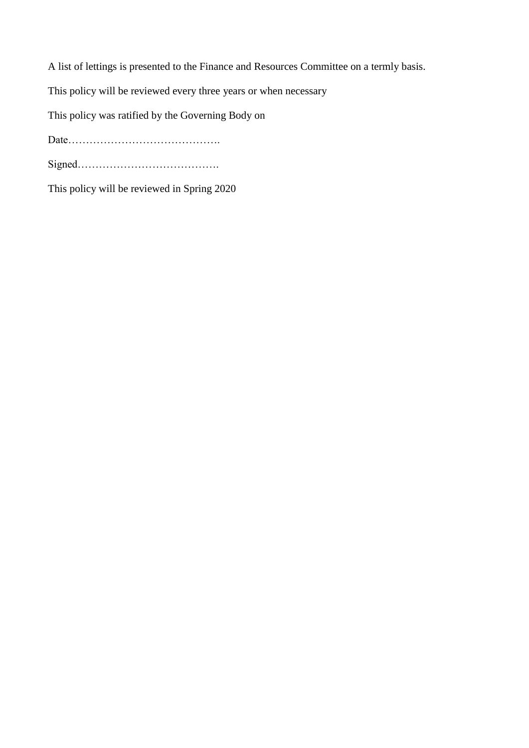A list of lettings is presented to the Finance and Resources Committee on a termly basis. This policy will be reviewed every three years or when necessary This policy was ratified by the Governing Body on Date……………………………………. Signed………………………………….

This policy will be reviewed in Spring 2020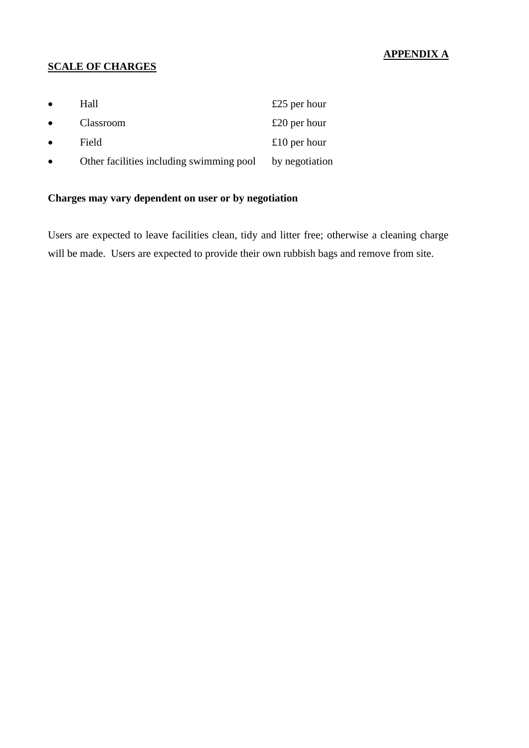# **APPENDIX A**

# **SCALE OF CHARGES**

| $\bullet$ | Hall                                     | £25 per hour   |
|-----------|------------------------------------------|----------------|
| $\bullet$ | Classroom                                | £20 per hour   |
| $\bullet$ | Field                                    | £10 per hour   |
|           | Other facilities including swimming pool | by negotiation |

# **Charges may vary dependent on user or by negotiation**

Users are expected to leave facilities clean, tidy and litter free; otherwise a cleaning charge will be made. Users are expected to provide their own rubbish bags and remove from site.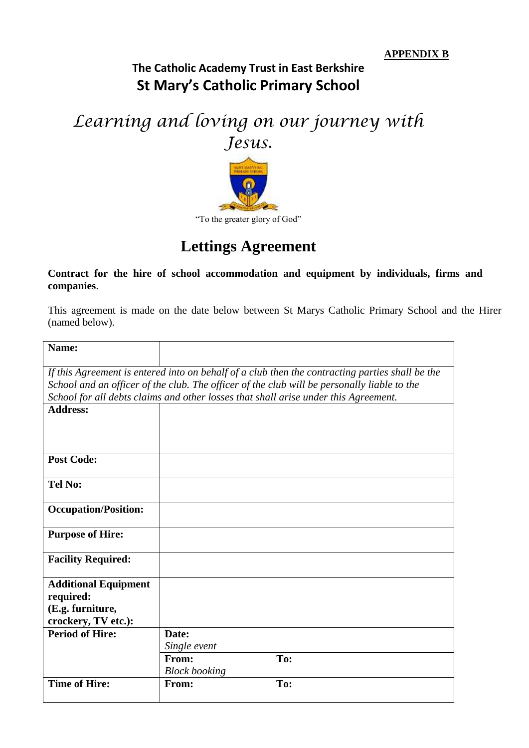# **The Catholic Academy Trust in East Berkshire St Mary's Catholic Primary School**

# *Learning and loving on our journey with*



# **Lettings Agreement**

#### **Contract for the hire of school accommodation and equipment by individuals, firms and companies**.

This agreement is made on the date below between St Marys Catholic Primary School and the Hirer (named below).

| Name:                                                                                           |                      |     |  |  |
|-------------------------------------------------------------------------------------------------|----------------------|-----|--|--|
|                                                                                                 |                      |     |  |  |
| If this Agreement is entered into on behalf of a club then the contracting parties shall be the |                      |     |  |  |
| School and an officer of the club. The officer of the club will be personally liable to the     |                      |     |  |  |
| School for all debts claims and other losses that shall arise under this Agreement.             |                      |     |  |  |
| <b>Address:</b>                                                                                 |                      |     |  |  |
|                                                                                                 |                      |     |  |  |
|                                                                                                 |                      |     |  |  |
| <b>Post Code:</b>                                                                               |                      |     |  |  |
|                                                                                                 |                      |     |  |  |
| <b>Tel No:</b>                                                                                  |                      |     |  |  |
|                                                                                                 |                      |     |  |  |
| <b>Occupation/Position:</b>                                                                     |                      |     |  |  |
|                                                                                                 |                      |     |  |  |
| <b>Purpose of Hire:</b>                                                                         |                      |     |  |  |
|                                                                                                 |                      |     |  |  |
| <b>Facility Required:</b>                                                                       |                      |     |  |  |
| <b>Additional Equipment</b>                                                                     |                      |     |  |  |
| required:                                                                                       |                      |     |  |  |
| (E.g. furniture,                                                                                |                      |     |  |  |
| crockery, TV etc.):                                                                             |                      |     |  |  |
| <b>Period of Hire:</b>                                                                          | Date:                |     |  |  |
|                                                                                                 | Single event         |     |  |  |
|                                                                                                 | From:                | To: |  |  |
|                                                                                                 | <b>Block booking</b> |     |  |  |
| <b>Time of Hire:</b>                                                                            | From:                | To: |  |  |
|                                                                                                 |                      |     |  |  |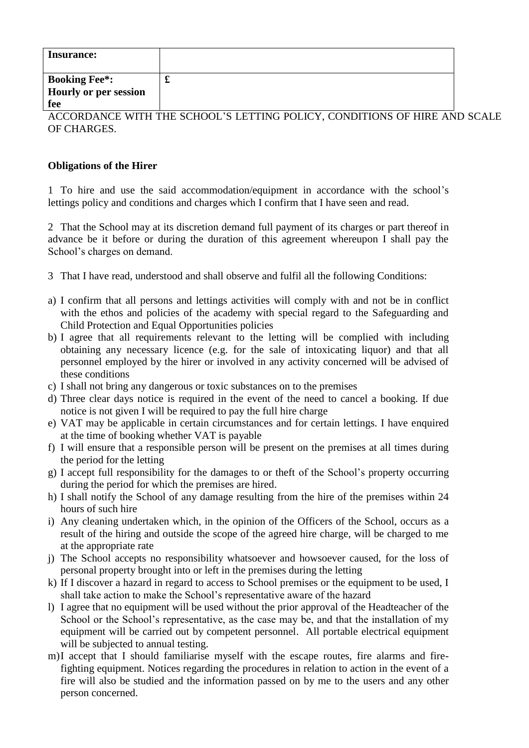| <b>Insurance:</b>     |   |
|-----------------------|---|
| <b>Booking Fee*:</b>  | ~ |
| Hourly or per session |   |
| fee                   |   |

ACCORDANCE WITH THE SCHOOL'S LETTING POLICY, CONDITIONS OF HIRE AND SCALE OF CHARGES.

#### **Obligations of the Hirer**

1 To hire and use the said accommodation/equipment in accordance with the school's lettings policy and conditions and charges which I confirm that I have seen and read.

2 That the School may at its discretion demand full payment of its charges or part thereof in advance be it before or during the duration of this agreement whereupon I shall pay the School's charges on demand.

- 3 That I have read, understood and shall observe and fulfil all the following Conditions:
- a) I confirm that all persons and lettings activities will comply with and not be in conflict with the ethos and policies of the academy with special regard to the Safeguarding and Child Protection and Equal Opportunities policies
- b) I agree that all requirements relevant to the letting will be complied with including obtaining any necessary licence (e.g. for the sale of intoxicating liquor) and that all personnel employed by the hirer or involved in any activity concerned will be advised of these conditions
- c) I shall not bring any dangerous or toxic substances on to the premises
- d) Three clear days notice is required in the event of the need to cancel a booking. If due notice is not given I will be required to pay the full hire charge
- e) VAT may be applicable in certain circumstances and for certain lettings. I have enquired at the time of booking whether VAT is payable
- f) I will ensure that a responsible person will be present on the premises at all times during the period for the letting
- g) I accept full responsibility for the damages to or theft of the School's property occurring during the period for which the premises are hired.
- h) I shall notify the School of any damage resulting from the hire of the premises within 24 hours of such hire
- i) Any cleaning undertaken which, in the opinion of the Officers of the School, occurs as a result of the hiring and outside the scope of the agreed hire charge, will be charged to me at the appropriate rate
- j) The School accepts no responsibility whatsoever and howsoever caused, for the loss of personal property brought into or left in the premises during the letting
- k) If I discover a hazard in regard to access to School premises or the equipment to be used, I shall take action to make the School's representative aware of the hazard
- l) I agree that no equipment will be used without the prior approval of the Headteacher of the School or the School's representative, as the case may be, and that the installation of my equipment will be carried out by competent personnel. All portable electrical equipment will be subjected to annual testing.
- m)I accept that I should familiarise myself with the escape routes, fire alarms and firefighting equipment. Notices regarding the procedures in relation to action in the event of a fire will also be studied and the information passed on by me to the users and any other person concerned.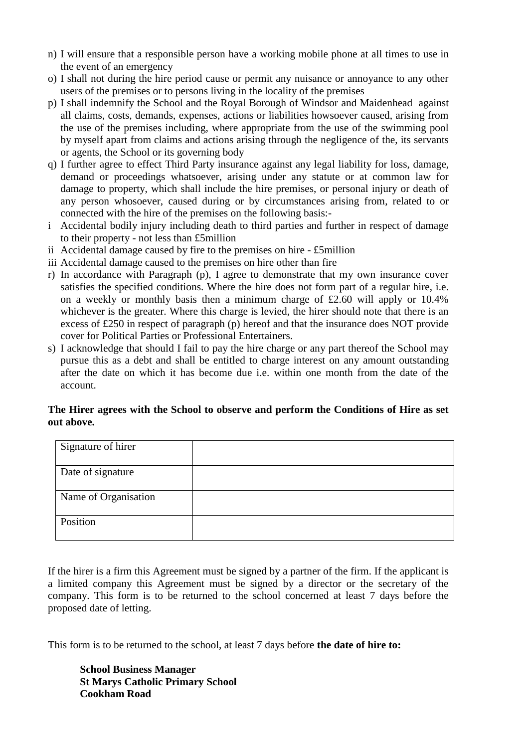- n) I will ensure that a responsible person have a working mobile phone at all times to use in the event of an emergency
- o) I shall not during the hire period cause or permit any nuisance or annoyance to any other users of the premises or to persons living in the locality of the premises
- p) I shall indemnify the School and the Royal Borough of Windsor and Maidenhead against all claims, costs, demands, expenses, actions or liabilities howsoever caused, arising from the use of the premises including, where appropriate from the use of the swimming pool by myself apart from claims and actions arising through the negligence of the, its servants or agents, the School or its governing body
- q) I further agree to effect Third Party insurance against any legal liability for loss, damage, demand or proceedings whatsoever, arising under any statute or at common law for damage to property, which shall include the hire premises, or personal injury or death of any person whosoever, caused during or by circumstances arising from, related to or connected with the hire of the premises on the following basis:-
- i Accidental bodily injury including death to third parties and further in respect of damage to their property - not less than £5million
- ii Accidental damage caused by fire to the premises on hire £5million
- iii Accidental damage caused to the premises on hire other than fire
- r) In accordance with Paragraph (p), I agree to demonstrate that my own insurance cover satisfies the specified conditions. Where the hire does not form part of a regular hire, i.e. on a weekly or monthly basis then a minimum charge of £2.60 will apply or 10.4% whichever is the greater. Where this charge is levied, the hirer should note that there is an excess of £250 in respect of paragraph (p) hereof and that the insurance does NOT provide cover for Political Parties or Professional Entertainers.
- s) I acknowledge that should I fail to pay the hire charge or any part thereof the School may pursue this as a debt and shall be entitled to charge interest on any amount outstanding after the date on which it has become due i.e. within one month from the date of the account.

#### **The Hirer agrees with the School to observe and perform the Conditions of Hire as set out above.**

| Signature of hirer   |  |
|----------------------|--|
| Date of signature    |  |
| Name of Organisation |  |
| Position             |  |

If the hirer is a firm this Agreement must be signed by a partner of the firm. If the applicant is a limited company this Agreement must be signed by a director or the secretary of the company. This form is to be returned to the school concerned at least 7 days before the proposed date of letting.

This form is to be returned to the school, at least 7 days before **the date of hire to:** 

**School Business Manager St Marys Catholic Primary School Cookham Road**